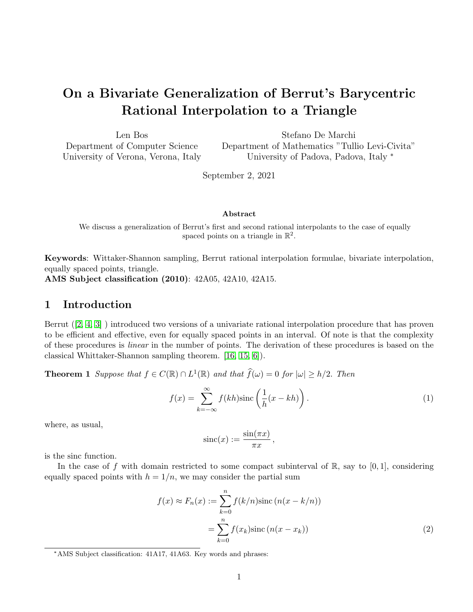# On a Bivariate Generalization of Berrut's Barycentric Rational Interpolation to a Triangle

| Len Bos                             | Stefano De Marchi                                |
|-------------------------------------|--------------------------------------------------|
| Department of Computer Science      | Department of Mathematics "Tullio Levi-Civita"   |
| University of Verona, Verona, Italy | University of Padova, Padova, Italy <sup>*</sup> |

September 2, 2021

#### Abstract

We discuss a generalization of Berrut's first and second rational interpolants to the case of equally spaced points on a triangle in  $\mathbb{R}^2$ .

Keywords: Wittaker-Shannon sampling, Berrut rational interpolation formulae, bivariate interpolation, equally spaced points, triangle.

AMS Subject classification (2010): 42A05, 42A10, 42A15.

### 1 Introduction

Berrut ([\[2,](#page-18-0) [4,](#page-19-0) [3\]](#page-19-1) ) introduced two versions of a univariate rational interpolation procedure that has proven to be efficient and effective, even for equally spaced points in an interval. Of note is that the complexity of these procedures is linear in the number of points. The derivation of these procedures is based on the classical Whittaker-Shannon sampling theorem. [\[16,](#page-19-2) [15,](#page-19-3) [6\]](#page-19-4)).

**Theorem 1** Suppose that  $f \in C(\mathbb{R}) \cap L^1(\mathbb{R})$  and that  $\widehat{f}(\omega) = 0$  for  $|\omega| \ge h/2$ . Then

$$
f(x) = \sum_{k=-\infty}^{\infty} f(kh) \operatorname{sinc}\left(\frac{1}{h}(x - kh)\right).
$$
 (1)

where, as usual,

<span id="page-0-0"></span>
$$
\operatorname{sinc}(x) := \frac{\sin(\pi x)}{\pi x},
$$

is the sinc function.

In the case of f with domain restricted to some compact subinterval of  $\mathbb{R}$ , say to [0, 1], considering equally spaced points with  $h = 1/n$ , we may consider the partial sum

$$
f(x) \approx F_n(x) := \sum_{k=0}^n f(k/n) \operatorname{sinc} (n(x - k/n))
$$

$$
= \sum_{k=0}^n f(x_k) \operatorname{sinc} (n(x - x_k))
$$
(2)

<sup>\*</sup>AMS Subject classification: 41A17, 41A63. Key words and phrases: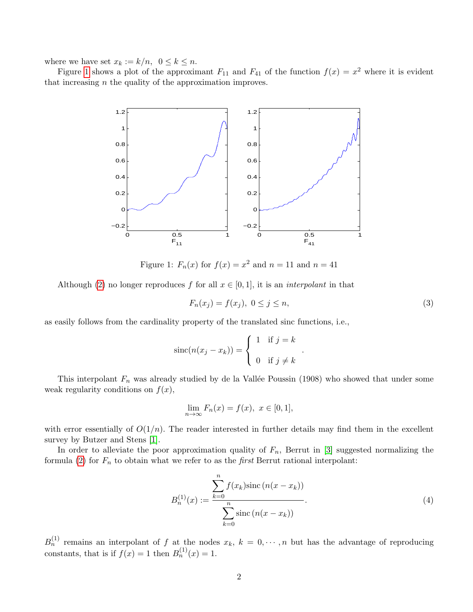where we have set  $x_k := k/n$ ,  $0 \le k \le n$ .

Figure [1](#page-1-0) shows a plot of the approximant  $F_{11}$  and  $F_{41}$  of the function  $f(x) = x^2$  where it is evident that increasing  $n$  the quality of the approximation improves.



<span id="page-1-0"></span>Figure 1:  $F_n(x)$  for  $f(x) = x^2$  and  $n = 11$  and  $n = 41$ 

Although [\(2\)](#page-0-0) no longer reproduces f for all  $x \in [0, 1]$ , it is an *interpolant* in that

$$
F_n(x_j) = f(x_j), \ 0 \le j \le n,\tag{3}
$$

.

as easily follows from the cardinality property of the translated sinc functions, i.e.,

$$
\operatorname{sinc}(n(x_j - x_k)) = \begin{cases} 1 & \text{if } j = k \\ 0 & \text{if } j \neq k \end{cases}
$$

This interpolant  $F_n$  was already studied by de la Vallée Poussin (1908) who showed that under some weak regularity conditions on  $f(x)$ ,

$$
\lim_{n \to \infty} F_n(x) = f(x), \ x \in [0, 1],
$$

with error essentially of  $O(1/n)$ . The reader interested in further details may find them in the excellent survey by Butzer and Stens [\[1\]](#page-18-1).

In order to alleviate the poor approximation quality of  $F_n$ , Berrut in [\[3\]](#page-19-1) suggested normalizing the formula [\(2\)](#page-0-0) for  $F_n$  to obtain what we refer to as the *first* Berrut rational interpolant:

<span id="page-1-1"></span>
$$
B_n^{(1)}(x) := \frac{\sum_{k=0}^n f(x_k) \operatorname{sinc} (n(x - x_k))}{\sum_{k=0}^n \operatorname{sinc} (n(x - x_k))}.
$$
\n(4)

 $B_n^{(1)}$  remains an interpolant of f at the nodes  $x_k$ ,  $k = 0, \dots, n$  but has the advantage of reproducing constants, that is if  $f(x) = 1$  then  $B_n^{(1)}(x) = 1$ .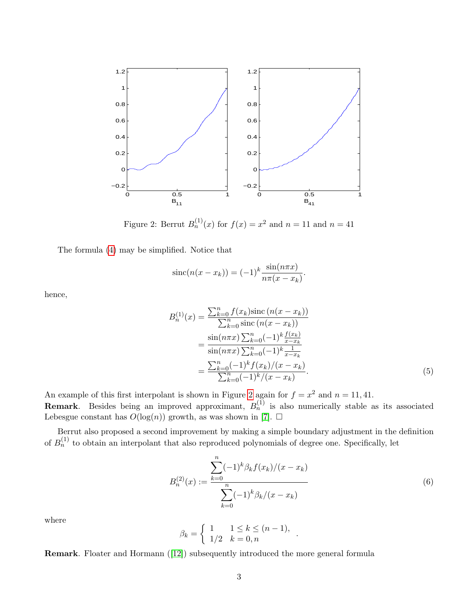

<span id="page-2-0"></span>Figure 2: Berrut  $B_n^{(1)}(x)$  for  $f(x) = x^2$  and  $n = 11$  and  $n = 41$ 

The formula [\(4\)](#page-1-1) may be simplified. Notice that

$$
\operatorname{sinc}(n(x - x_k)) = (-1)^k \frac{\sin(n\pi x)}{n\pi(x - x_k)}
$$

hence,

$$
B_n^{(1)}(x) = \frac{\sum_{k=0}^n f(x_k) \text{sinc} (n(x - x_k))}{\sum_{k=0}^n \text{sinc} (n(x - x_k))}
$$
  
= 
$$
\frac{\sin(n\pi x) \sum_{k=0}^n (-1)^k \frac{f(x_k)}{x - x_k}}{\sin(n\pi x) \sum_{k=0}^n (-1)^k \frac{1}{x - x_k}}
$$
  
= 
$$
\frac{\sum_{k=0}^n (-1)^k f(x_k)/(x - x_k)}{\sum_{k=0}^n (-1)^k/(x - x_k)}.
$$
(5)

.

An example of this first interpolant is shown in Figure [2](#page-2-0) again for  $f = x^2$  and  $n = 11, 41$ .

**Remark**. Besides being an improved approximant,  $B_n^{(1)}$  is also numerically stable as its associated Lebesgue constant has  $O(\log(n))$  growth, as was shown in [\[7\]](#page-19-5).  $\Box$ 

Berrut also proposed a second improvement by making a simple boundary adjustment in the definition of  $B_n^{(1)}$  to obtain an interpolant that also reproduced polynomials of degree one. Specifically, let

$$
B_n^{(2)}(x) := \frac{\sum_{k=0}^n (-1)^k \beta_k f(x_k)/(x - x_k)}{\sum_{k=0}^n (-1)^k \beta_k/(x - x_k)}
$$
(6)

.

where

$$
\beta_k = \begin{cases} 1 & 1 \le k \le (n-1), \\ 1/2 & k = 0, n \end{cases}
$$

Remark. Floater and Hormann ([\[12\]](#page-19-6)) subsequently introduced the more general formula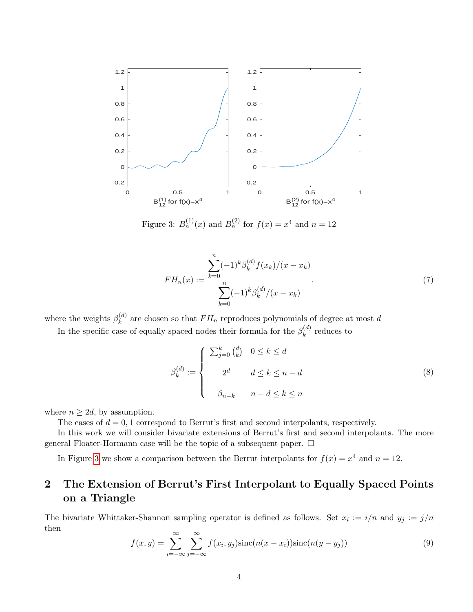

<span id="page-3-0"></span>Figure 3:  $B_n^{(1)}(x)$  and  $B_n^{(2)}$  for  $f(x) = x^4$  and  $n = 12$ 

$$
FH_n(x) := \frac{\sum_{k=0}^n (-1)^k \beta_k^{(d)} f(x_k)/(x - x_k)}{\sum_{k=0}^n (-1)^k \beta_k^{(d)}/(x - x_k)}.
$$
\n(7)

where the weights  $\beta_k^{(d)}$  $k^{(a)}_k$  are chosen so that  $FH_n$  reproduces polynomials of degree at most d

In the specific case of equally spaced nodes their formula for the  $\beta_k^{(d)}$  $k^{(a)}$  reduces to

$$
\beta_k^{(d)} := \begin{cases}\n\sum_{j=0}^k {d \choose k} & 0 \le k \le d \\
2^d & d \le k \le n - d \\
\beta_{n-k} & n - d \le k \le n\n\end{cases}
$$
\n(8)

where  $n \geq 2d$ , by assumption.

The cases of  $d = 0, 1$  correspond to Berrut's first and second interpolants, respectively.

In this work we will consider bivariate extensions of Berrut's first and second interpolants. The more general Floater-Hormann case will be the topic of a subsequent paper.  $\Box$ 

In Figure [3](#page-3-0) we show a comparison between the Berrut interpolants for  $f(x) = x^4$  and  $n = 12$ .

## 2 The Extension of Berrut's First Interpolant to Equally Spaced Points on a Triangle

The bivariate Whittaker-Shannon sampling operator is defined as follows. Set  $x_i := i/n$  and  $y_j := j/n$ then

$$
f(x,y) = \sum_{i=-\infty}^{\infty} \sum_{j=-\infty}^{\infty} f(x_i, y_j) \operatorname{sinc}(n(x - x_i)) \operatorname{sinc}(n(y - y_j))
$$
\n(9)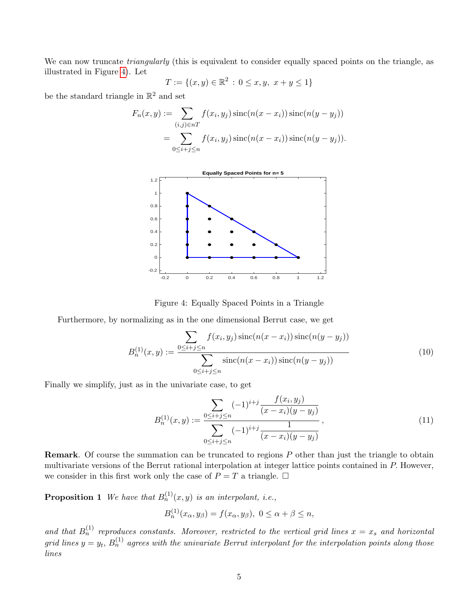We can now truncate *triangularly* (this is equivalent to consider equally spaced points on the triangle, as illustrated in Figure [4\)](#page-4-0). Let

$$
T := \{(x, y) \in \mathbb{R}^2 \, : \, 0 \le x, y, \ x + y \le 1\}
$$

be the standard triangle in  $\mathbb{R}^2$  and set

$$
F_n(x, y) := \sum_{(i,j)\in nT} f(x_i, y_j) \operatorname{sinc}(n(x - x_i)) \operatorname{sinc}(n(y - y_j))
$$
  
= 
$$
\sum_{0 \le i+j \le n} f(x_i, y_j) \operatorname{sinc}(n(x - x_i)) \operatorname{sinc}(n(y - y_j)).
$$



<span id="page-4-0"></span>Figure 4: Equally Spaced Points in a Triangle

Furthermore, by normalizing as in the one dimensional Berrut case, we get

$$
B_n^{(1)}(x,y) := \frac{\sum_{0 \le i+j \le n} f(x_i, y_j) \operatorname{sinc}(n(x - x_i)) \operatorname{sinc}(n(y - y_j))}{\sum_{0 \le i+j \le n} \operatorname{sinc}(n(x - x_i)) \operatorname{sinc}(n(y - y_j))}
$$
(10)

Finally we simplify, just as in the univariate case, to get

<span id="page-4-1"></span>
$$
B_n^{(1)}(x,y) := \frac{\sum_{0 \le i+j \le n} (-1)^{i+j} \frac{f(x_i, y_j)}{(x - x_i)(y - y_j)}}{\sum_{0 \le i+j \le n} (-1)^{i+j} \frac{1}{(x - x_i)(y - y_j)}},\tag{11}
$$

Remark. Of course the summation can be truncated to regions P other than just the triangle to obtain multivariate versions of the Berrut rational interpolation at integer lattice points contained in P. However, we consider in this first work only the case of  $P = T$  a triangle.  $\Box$ 

**Proposition 1** We have that  $B_n^{(1)}(x, y)$  is an interpolant, i.e.,

 $B_n^{(1)}(x_\alpha, y_\beta) = f(x_\alpha, y_\beta), \ 0 \leq \alpha + \beta \leq n,$ 

and that  $B_n^{(1)}$  reproduces constants. Moreover, restricted to the vertical grid lines  $x = x_s$  and horizontal grid lines  $y = y_t$ ,  $B_n^{(1)}$  agrees with the univariate Berrut interpolant for the interpolation points along those lines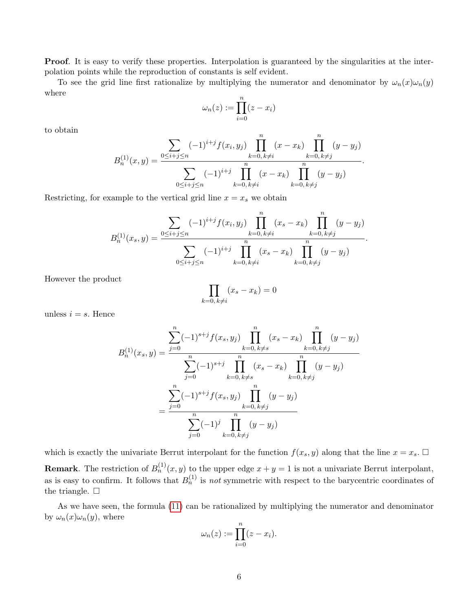**Proof.** It is easy to verify these properties. Interpolation is guaranteed by the singularities at the interpolation points while the reproduction of constants is self evident.

To see the grid line first rationalize by multiplying the numerator and denominator by  $\omega_n(x)\omega_n(y)$ where

$$
\omega_n(z) := \prod_{i=0}^n (z - x_i)
$$

to obtain

$$
B_n^{(1)}(x,y) = \frac{\sum_{0 \le i+j \le n} (-1)^{i+j} f(x_i, y_j) \prod_{k=0, k \ne i}^n (x - x_k) \prod_{k=0, k \ne j}^n (y - y_j)}{\sum_{0 \le i+j \le n} (-1)^{i+j} \prod_{k=0, k \ne i}^n (x - x_k) \prod_{k=0, k \ne j}^n (y - y_j)}.
$$

Restricting, for example to the vertical grid line  $x = x_s$  we obtain

$$
B_n^{(1)}(x_s, y) = \frac{\sum_{0 \le i+j \le n} (-1)^{i+j} f(x_i, y_j) \prod_{k=0, k \ne i}^n (x_s - x_k) \prod_{k=0, k \ne j}^n (y - y_j)}{\sum_{0 \le i+j \le n} (-1)^{i+j} \prod_{k=0, k \ne i}^n (x_s - x_k) \prod_{k=0, k \ne j}^n (y - y_j)}.
$$

However the product

$$
\prod_{k=0, k \neq i} (x_s - x_k) = 0
$$

unless  $i = s$ . Hence

$$
B_n^{(1)}(x_s, y) = \frac{\sum_{j=0}^n (-1)^{s+j} f(x_s, y_j) \prod_{k=0, k\neq s}^n (x_s - x_k) \prod_{k=0, k\neq j}^n (y - y_j)}{\sum_{j=0}^n (-1)^{s+j} \prod_{k=0, k\neq s}^n (x_s - x_k) \prod_{k=0, k\neq j}^n (y - y_j)}
$$
  

$$
= \frac{\sum_{j=0}^n (-1)^{s+j} f(x_s, y_j) \prod_{k=0, k\neq j}^n (y - y_j)}{\sum_{j=0}^n (-1)^j \prod_{k=0, k\neq j}^n (y - y_j)}
$$

which is exactly the univariate Berrut interpolant for the function  $f(x_s, y)$  along that the line  $x = x_s$ .  $\Box$ 

**Remark**. The restriction of  $B_n^{(1)}(x, y)$  to the upper edge  $x + y = 1$  is not a univariate Berrut interpolant, as is easy to confirm. It follows that  $B_n^{(1)}$  is not symmetric with respect to the barycentric coordinates of the triangle.  $\square$ 

As we have seen, the formula [\(11\)](#page-4-1) can be rationalized by multiplying the numerator and denominator by  $\omega_n(x)\omega_n(y)$ , where

$$
\omega_n(z) := \prod_{i=0}^n (z - x_i).
$$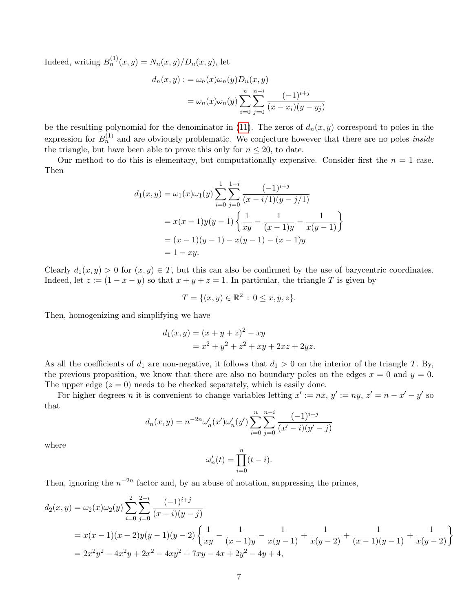Indeed, writing  $B_n^{(1)}(x, y) = N_n(x, y)/D_n(x, y)$ , let

$$
d_n(x, y) := \omega_n(x)\omega_n(y)D_n(x, y)
$$
  
= 
$$
\omega_n(x)\omega_n(y)\sum_{i=0}^n\sum_{j=0}^{n-i}\frac{(-1)^{i+j}}{(x-x_i)(y-y_j)}
$$

be the resulting polynomial for the denominator in [\(11\)](#page-4-1). The zeros of  $d_n(x, y)$  correspond to poles in the expression for  $B_n^{(1)}$  and are obviously problematic. We conjecture however that there are no poles *inside* the triangle, but have been able to prove this only for  $n \leq 20$ , to date.

Our method to do this is elementary, but computationally expensive. Consider first the  $n = 1$  case. Then

$$
d_1(x, y) = \omega_1(x)\omega_1(y) \sum_{i=0}^{1} \sum_{j=0}^{1-i} \frac{(-1)^{i+j}}{(x-i/1)(y-j/1)}
$$
  
=  $x(x-1)y(y-1) \left\{ \frac{1}{xy} - \frac{1}{(x-1)y} - \frac{1}{x(y-1)} \right\}$   
=  $(x-1)(y-1) - x(y-1) - (x-1)y$   
=  $1 - xy$ .

Clearly  $d_1(x, y) > 0$  for  $(x, y) \in T$ , but this can also be confirmed by the use of barycentric coordinates. Indeed, let  $z := (1 - x - y)$  so that  $x + y + z = 1$ . In particular, the triangle T is given by

$$
T = \{ (x, y) \in \mathbb{R}^2 \, : \, 0 \le x, y, z \}.
$$

Then, homogenizing and simplifying we have

$$
d_1(x, y) = (x + y + z)^2 - xy
$$
  
=  $x^2 + y^2 + z^2 + xy + 2xz + 2yz$ .

As all the coefficients of  $d_1$  are non-negative, it follows that  $d_1 > 0$  on the interior of the triangle T. By, the previous proposition, we know that there are also no boundary poles on the edges  $x = 0$  and  $y = 0$ . The upper edge  $(z = 0)$  needs to be checked separately, which is easily done.

For higher degrees n it is convenient to change variables letting  $x' := nx$ ,  $y' := ny$ ,  $z' = n - x' - y'$  so that

$$
d_n(x,y) = n^{-2n} \omega'_n(x') \omega'_n(y') \sum_{i=0}^n \sum_{j=0}^{n-i} \frac{(-1)^{i+j}}{(x'-i)(y'-j)}
$$

where

$$
\omega'_n(t) = \prod_{i=0}^n (t - i).
$$

Then, ignoring the  $n^{-2n}$  factor and, by an abuse of notation, suppressing the primes,

$$
d_2(x,y) = \omega_2(x)\omega_2(y)\sum_{i=0}^2 \sum_{j=0}^{2-i} \frac{(-1)^{i+j}}{(x-i)(y-j)}
$$
  
=  $x(x-1)(x-2)y(y-1)(y-2)\left\{\frac{1}{xy} - \frac{1}{(x-1)y} - \frac{1}{x(y-1)} + \frac{1}{x(y-2)} + \frac{1}{(x-1)(y-1)} + \frac{1}{x(y-2)}\right\}$   
=  $2x^2y^2 - 4x^2y + 2x^2 - 4xy^2 + 7xy - 4x + 2y^2 - 4y + 4$ ,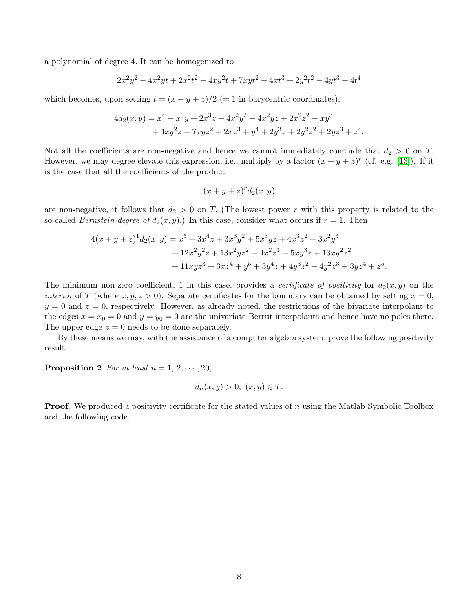a polynomial of degree 4. It can be homogenized to

$$
2x^2y^2 - 4x^2yt + 2x^2t^2 - 4xy^2t + 7xyt^2 - 4xt^3 + 2y^2t^2 - 4yt^3 + 4t^4
$$

which becomes, upon setting  $t = (x + y + z)/2$  (= 1 in barycentric coordinates),

$$
4d_2(x,y) = x^4 - x^3y + 2x^3z + 4x^2y^2 + 4x^2yz + 2x^2z^2 - xy^3
$$
  
+ 
$$
4xy^2z + 7xyz^2 + 2xz^3 + y^4 + 2y^3z + 2y^2z^2 + 2yz^3 + z^4.
$$

Not all the coefficients are non-negative and hence we cannot immediately conclude that  $d_2 > 0$  on T. However, we may degree elevate this expression, i.e., multiply by a factor  $(x + y + z)^r$  (cf. e.g. [\[13\]](#page-19-7)). If it is the case that all the coefficients of the product

$$
(x+y+z)^r d_2(x,y)
$$

are non-negative, it follows that  $d_2 > 0$  on T. (The lowest power r with this property is related to the so-called *Bernstein degree of*  $d_2(x, y)$ *.*) In this case, consider what occurs if  $r = 1$ . Then

$$
4(x + y + z)^{1}d_{2}(x, y) = x^{5} + 3x^{4}z + 3x^{3}y^{2} + 5x^{3}yz + 4x^{3}z^{2} + 3x^{2}y^{3}
$$
  
+ 
$$
12x^{2}y^{2}z + 13x^{2}yz^{2} + 4x^{2}z^{3} + 5xy^{3}z + 13xy^{2}z^{2}
$$
  
+ 
$$
11xyz^{3} + 3xz^{4} + y^{5} + 3y^{4}z + 4y^{3}z^{2} + 4y^{2}z^{3} + 3yz^{4} + z^{5}.
$$

The minimum non-zero coefficient, 1 in this case, provides a *certificate of positivity* for  $d_2(x, y)$  on the interior of T (where  $x, y, z > 0$ ). Separate certificates for the boundary can be obtained by setting  $x = 0$ ,  $y = 0$  and  $z = 0$ , respectively. However, as already noted, the restrictions of the bivariate interpolant to the edges  $x = x_0 = 0$  and  $y = y_0 = 0$  are the univariate Berrut interpolants and hence have no poles there. The upper edge  $z = 0$  needs to be done separately.

By these means we may, with the assistance of a computer algebra system, prove the following positivity result.

<span id="page-7-0"></span>**Proposition 2** For at least  $n = 1, 2, \dots, 20$ ,

$$
d_n(x, y) > 0, \ (x, y) \in T.
$$

**Proof.** We produced a positivity certificate for the stated values of n using the Matlab Symbolic Toolbox and the following code.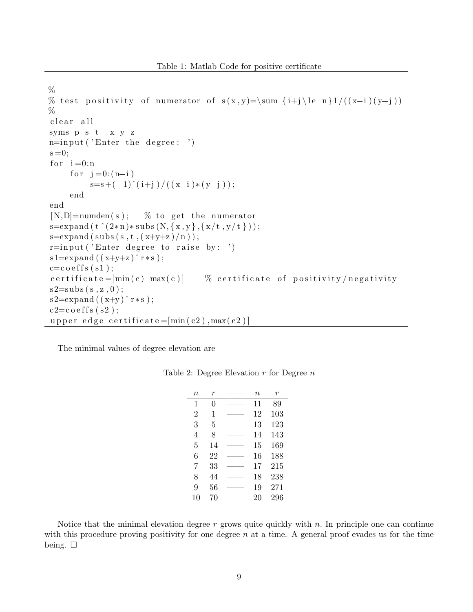```
%% test positivity of numerator of s(x,y)=\sum_{i+j} (k-n+1)/(x-i)(y-j)\%clear all
syms p s t x y z
n = input('Enter the degree:')s = 0;
for i=0:nfor j = 0:(n-i)s=s+(-1)^( i+j ) / ( ( x-i ) * ( y-j ) ) ;
    end
end
[N,D] =numden(s); % to get the numerator
s=expand (t (2*n)*subs (N, {x, y}, {x/t, y/t}));
s=expand (subs(s, t, (x+y+z)/n));r = input('Enter degree to raise by: ' )s1=expand ((x+y+z)^{r} r * s);c = \csc f s (s1);c e r t i f i c a t e = [\min(c) max(c)] % c e r t i f i c a t e o f positivity n e gativity
s2 = subs(s, z, 0);s 2=expand ((x+y) r*s ;
c2=coeffs(s2);upper_edge_certificate=[\min(c2), \max(c2)]
```
The minimal values of degree elevation are

| $\it n$        | r      | $\it n$ | r   |
|----------------|--------|---------|-----|
| 1              | 0      | 11      | 89  |
| $\overline{2}$ | 1      | 12      | 103 |
| 3              | 5      | 13      | 123 |
| 4              | 8      | 14      | 143 |
| 5              | 14     | 15      | 169 |
| 6              | 22     | 16      | 188 |
| 7              | 33     | 17      | 215 |
| 8              | 44     | 18      | 238 |
| 9              | $56\,$ | 19      | 271 |
| 10             | 70     | 20      | 296 |

Table 2: Degree Elevation  $r$  for Degree  $n$ 

Notice that the minimal elevation degree  $r$  grows quite quickly with  $n$ . In principle one can continue with this procedure proving positivity for one degree  $n$  at a time. A general proof evades us for the time being.  $\square$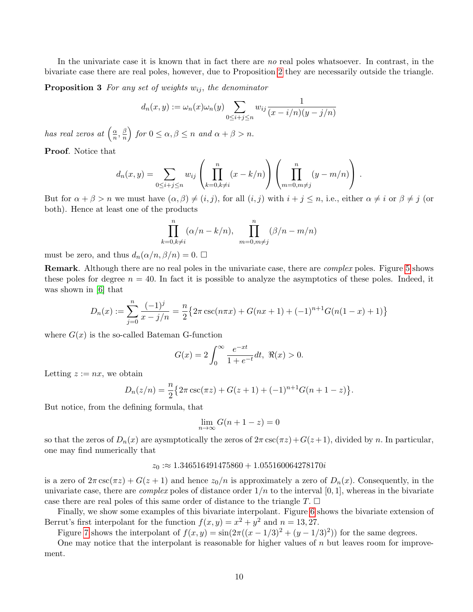In the univariate case it is known that in fact there are no real poles whatsoever. In contrast, in the bivariate case there are real poles, however, due to Proposition [2](#page-7-0) they are necessarily outside the triangle.

<span id="page-9-0"></span>**Proposition 3** For any set of weights  $w_{ij}$ , the denominator

$$
d_n(x,y) := \omega_n(x)\omega_n(y) \sum_{0 \le i+j \le n} w_{ij} \frac{1}{(x-i/n)(y-j/n)}
$$

has real zeros at  $\left(\frac{\alpha}{n}\right)$  $\frac{\alpha}{n}, \frac{\beta}{n}$  $\left(\frac{\beta}{n}\right)$  for  $0 \le \alpha, \beta \le n$  and  $\alpha + \beta > n$ .

Proof. Notice that

$$
d_n(x,y) = \sum_{0 \le i+j \le n} w_{ij} \left( \prod_{k=0, k \ne i}^n (x - k/n) \right) \left( \prod_{m=0, m \ne j}^n (y - m/n) \right).
$$

But for  $\alpha + \beta > n$  we must have  $(\alpha, \beta) \neq (i, j)$ , for all  $(i, j)$  with  $i + j \leq n$ , i.e., either  $\alpha \neq i$  or  $\beta \neq j$  (or both). Hence at least one of the products

$$
\prod_{k=0,k\neq i}^{n} (\alpha/n - k/n), \quad \prod_{m=0,m\neq j}^{n} (\beta/n - m/n)
$$

must be zero, and thus  $d_n(\alpha/n, \beta/n) = 0$ .  $\Box$ 

Remark. Although there are no real poles in the univariate case, there are complex poles. Figure [5](#page-10-0) shows these poles for degree  $n = 40$ . In fact it is possible to analyze the asymptotics of these poles. Indeed, it was shown in [\[6\]](#page-19-4) that

$$
D_n(x) := \sum_{j=0}^n \frac{(-1)^j}{x - j/n} = \frac{n}{2} \{ 2\pi \csc(n\pi x) + G(nx+1) + (-1)^{n+1} G(n(1-x) + 1) \}
$$

where  $G(x)$  is the so-called Bateman G-function

$$
G(x) = 2 \int_0^\infty \frac{e^{-xt}}{1 + e^{-t}} dt, \ \Re(x) > 0.
$$

Letting  $z := nx$ , we obtain

$$
D_n(z/n) = \frac{n}{2} \{ 2\pi \csc(\pi z) + G(z+1) + (-1)^{n+1} G(n+1-z) \}.
$$

But notice, from the defining formula, that

$$
\lim_{n \to \infty} G(n+1-z) = 0
$$

so that the zeros of  $D_n(x)$  are aysmptotically the zeros of  $2\pi \csc(\pi z)+G(z+1)$ , divided by n. In particular, one may find numerically that

#### $z_0 := 1.346516491475860 + 1.055160064278170i$

is a zero of  $2\pi \csc(\pi z) + G(z+1)$  and hence  $z_0/n$  is approximately a zero of  $D_n(x)$ . Consequently, in the univariate case, there are *complex* poles of distance order  $1/n$  to the interval  $[0, 1]$ , whereas in the bivariate case there are real poles of this same order of distance to the triangle  $T$ .  $\Box$ 

Finally, we show some examples of this bivariate interpolant. Figure [6](#page-10-1) shows the bivariate extension of Berrut's first interpolant for the function  $f(x, y) = x^2 + y^2$  and  $n = 13, 27$ .

Figure [7](#page-11-0) shows the interpolant of  $f(x, y) = \sin(2\pi((x - 1/3)^2 + (y - 1/3)^2))$  for the same degrees.

One may notice that the interpolant is reasonable for higher values of  $n$  but leaves room for improvement.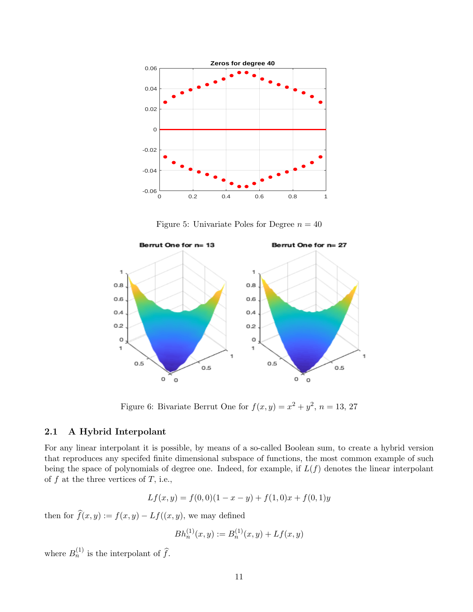

<span id="page-10-0"></span>Figure 5: Univariate Poles for Degree  $n = 40$ 



<span id="page-10-1"></span>Figure 6: Bivariate Berrut One for  $f(x,y) = x^2 + y^2$ ,  $n = 13, 27$ 

#### 2.1 A Hybrid Interpolant

For any linear interpolant it is possible, by means of a so-called Boolean sum, to create a hybrid version that reproduces any specifed finite dimensional subspace of functions, the most common example of such being the space of polynomials of degree one. Indeed, for example, if  $L(f)$  denotes the linear interpolant of  $f$  at the three vertices of  $T$ , i.e.,

$$
Lf(x, y) = f(0, 0)(1 - x - y) + f(1, 0)x + f(0, 1)y
$$

then for  $\widehat{f}(x, y) := f(x, y) - Lf((x, y),$  we may defined

$$
Bh_n^{(1)}(x,y) := B_n^{(1)}(x,y) + Lf(x,y)
$$

where  $B_n^{(1)}$  is the interpolant of  $\widehat{f}$ .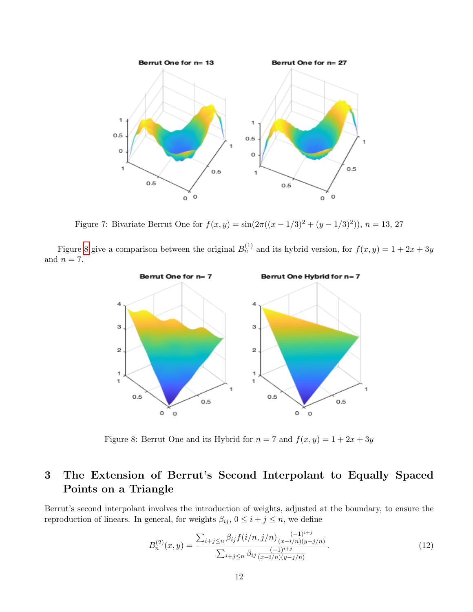

<span id="page-11-0"></span>Figure 7: Bivariate Berrut One for  $f(x, y) = \sin(2\pi((x - 1/3)^2 + (y - 1/3)^2))$ ,  $n = 13, 27$ 

Figure [8](#page-11-1) give a comparison between the original  $B_n^{(1)}$  and its hybrid version, for  $f(x, y) = 1 + 2x + 3y$ and  $n = 7$ .



<span id="page-11-1"></span>Figure 8: Berrut One and its Hybrid for  $n = 7$  and  $f(x, y) = 1 + 2x + 3y$ 

## 3 The Extension of Berrut's Second Interpolant to Equally Spaced Points on a Triangle

Berrut's second interpolant involves the introduction of weights, adjusted at the boundary, to ensure the reproduction of linears. In general, for weights  $\beta_{ij}$ ,  $0 \leq i + j \leq n$ , we define

$$
B_n^{(2)}(x,y) = \frac{\sum_{i+j \le n} \beta_{ij} f(i/n, j/n) \frac{(-1)^{i+j}}{(x-i/n)(y-j/n)}}{\sum_{i+j \le n} \beta_{ij} \frac{(-1)^{i+j}}{(x-i/n)(y-j/n)}}.
$$
(12)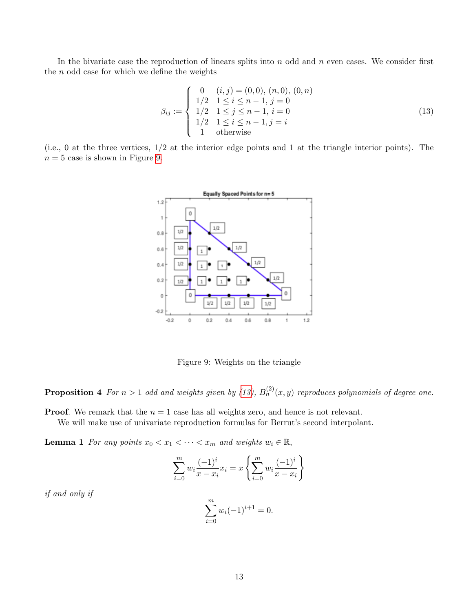In the bivariate case the reproduction of linears splits into  $n$  odd and  $n$  even cases. We consider first the  $n$  odd case for which we define the weights

<span id="page-12-1"></span>
$$
\beta_{ij} := \begin{cases}\n0 & (i,j) = (0,0), (n,0), (0,n) \\
1/2 & 1 \le i \le n-1, j = 0 \\
1/2 & 1 \le j \le n-1, i = 0 \\
1/2 & 1 \le i \le n-1, j = i \\
1 & \text{otherwise}\n\end{cases}
$$
\n(13)

(i.e., 0 at the three vertices, 1/2 at the interior edge points and 1 at the triangle interior points). The  $n = 5$  case is shown in Figure [9.](#page-12-0)



<span id="page-12-0"></span>Figure 9: Weights on the triangle

**Proposition 4** For  $n > 1$  odd and weights given by [\(13\)](#page-12-1),  $B_n^{(2)}(x, y)$  reproduces polynomials of degree one.

**Proof.** We remark that the  $n = 1$  case has all weights zero, and hence is not relevant.

<span id="page-12-2"></span>We will make use of univariate reproduction formulas for Berrut's second interpolant.

**Lemma 1** For any points  $x_0 < x_1 < \cdots < x_m$  and weights  $w_i \in \mathbb{R}$ ,

$$
\sum_{i=0}^{m} w_i \frac{(-1)^i}{x - x_i} x_i = x \left\{ \sum_{i=0}^{m} w_i \frac{(-1)^i}{x - x_i} \right\}
$$

if and only if

$$
\sum_{i=0}^{m} w_i (-1)^{i+1} = 0.
$$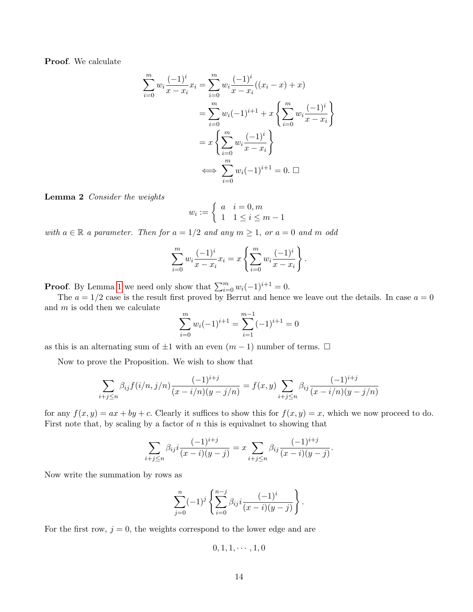Proof. We calculate

$$
\sum_{i=0}^{m} w_i \frac{(-1)^i}{x - x_i} x_i = \sum_{i=0}^{m} w_i \frac{(-1)^i}{x - x_i} ((x_i - x) + x)
$$
  
= 
$$
\sum_{i=0}^{m} w_i (-1)^{i+1} + x \left\{ \sum_{i=0}^{m} w_i \frac{(-1)^i}{x - x_i} \right\}
$$
  
= 
$$
x \left\{ \sum_{i=0}^{m} w_i \frac{(-1)^i}{x - x_i} \right\}
$$
  

$$
\iff \sum_{i=0}^{m} w_i (-1)^{i+1} = 0. \quad \Box
$$

<span id="page-13-0"></span>Lemma 2 Consider the weights

$$
w_i := \begin{cases} a & i = 0, m \\ 1 & 1 \le i \le m - 1 \end{cases}
$$

with  $a \in \mathbb{R}$  a parameter. Then for  $a = 1/2$  and any  $m \ge 1$ , or  $a = 0$  and m odd

$$
\sum_{i=0}^{m} w_i \frac{(-1)^i}{x - x_i} x_i = x \left\{ \sum_{i=0}^{m} w_i \frac{(-1)^i}{x - x_i} \right\}.
$$

**Proof.** By Lemma [1](#page-12-2) we need only show that  $\sum_{i=0}^{m} w_i(-1)^{i+1} = 0$ .

The  $a = 1/2$  case is the result first proved by Berrut and hence we leave out the details. In case  $a = 0$ and  $m$  is odd then we calculate

$$
\sum_{i=0}^{m} w_i (-1)^{i+1} = \sum_{i=1}^{m-1} (-1)^{i+1} = 0
$$

as this is an alternating sum of  $\pm 1$  with an even  $(m - 1)$  number of terms.  $\Box$ 

Now to prove the Proposition. We wish to show that

$$
\sum_{i+j\le n} \beta_{ij} f(i/n, j/n) \frac{(-1)^{i+j}}{(x-i/n)(y-j/n)} = f(x, y) \sum_{i+j\le n} \beta_{ij} \frac{(-1)^{i+j}}{(x-i/n)(y-j/n)}
$$

for any  $f(x, y) = ax + by + c$ . Clearly it suffices to show this for  $f(x, y) = x$ , which we now proceed to do. First note that, by scaling by a factor of  $n$  this is equivalent to showing that

$$
\sum_{i+j\leq n} \beta_{ij} i \frac{(-1)^{i+j}}{(x-i)(y-j)} = x \sum_{i+j\leq n} \beta_{ij} \frac{(-1)^{i+j}}{(x-i)(y-j)}.
$$

Now write the summation by rows as

$$
\sum_{j=0}^{n} (-1)^{j} \left\{ \sum_{i=0}^{n-j} \beta_{ij} i \frac{(-1)^{i}}{(x-i)(y-j)} \right\}.
$$

For the first row,  $j = 0$ , the weights correspond to the lower edge and are

$$
0,1,1,\cdots,1,0
$$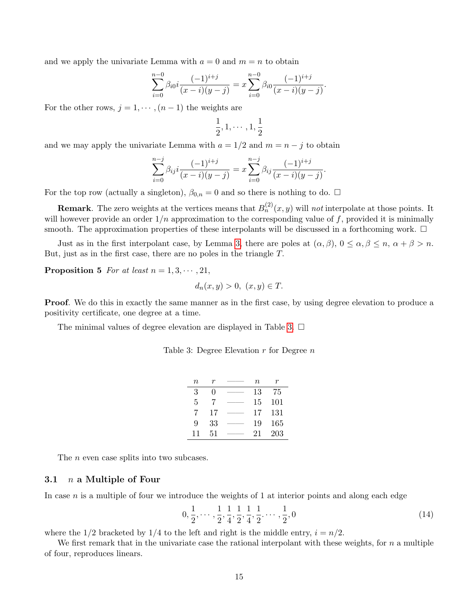and we apply the univariate Lemma with  $a = 0$  and  $m = n$  to obtain

$$
\sum_{i=0}^{n-0} \beta_{i0} i \frac{(-1)^{i+j}}{(x-i)(y-j)} = x \sum_{i=0}^{n-0} \beta_{i0} \frac{(-1)^{i+j}}{(x-i)(y-j)}.
$$

For the other rows,  $j = 1, \dots, (n-1)$  the weights are

$$
\frac{1}{2},1,\cdots,1,\frac{1}{2}
$$

and we may apply the univariate Lemma with  $a = 1/2$  and  $m = n - j$  to obtain

$$
\sum_{i=0}^{n-j} \beta_{ij} i \frac{(-1)^{i+j}}{(x-i)(y-j)} = x \sum_{i=0}^{n-j} \beta_{ij} \frac{(-1)^{i+j}}{(x-i)(y-j)}.
$$

For the top row (actually a singleton),  $\beta_{0,n} = 0$  and so there is nothing to do.  $\Box$ 

**Remark**. The zero weights at the vertices means that  $B_n^{(2)}(x, y)$  will not interpolate at those points. It will however provide an order  $1/n$  approximation to the corresponding value of f, provided it is minimally smooth. The approximation properties of these interpolants will be discussed in a forthcoming work.  $\Box$ 

Just as in the first interpolant case, by Lemma [3,](#page-9-0) there are poles at  $(\alpha, \beta), 0 \leq \alpha, \beta \leq n, \alpha + \beta > n$ . But, just as in the first case, there are no poles in the triangle T.

**Proposition 5** For at least  $n = 1, 3, \cdots, 21$ ,

$$
d_n(x, y) > 0, \ (x, y) \in T.
$$

Proof. We do this in exactly the same manner as in the first case, by using degree elevation to produce a positivity certificate, one degree at a time.

The minimal values of degree elevation are displayed in Table [3.](#page-14-0)  $\Box$ 

<span id="page-14-0"></span>

|  | Table 3: Degree Elevation $r$ for Degree $n$ |  |  |
|--|----------------------------------------------|--|--|
|  |                                              |  |  |

| $\it n$ |    | $\, n$ |     |
|---------|----|--------|-----|
| 3       | O  | 13     | 75  |
| 5       | 7  | 15     | 101 |
| 7       | 17 | 17     | 131 |
| 9       | 33 | 19     | 165 |
| 11      | 51 | 21     | 203 |

The *n* even case splits into two subcases.

#### 3.1  $n$  a Multiple of Four

In case  $n$  is a multiple of four we introduce the weights of 1 at interior points and along each edge

<span id="page-14-1"></span>
$$
0, \frac{1}{2}, \cdots, \frac{1}{2}, \frac{1}{4}, \frac{1}{2}, \frac{1}{4}, \frac{1}{2}, \cdots, \frac{1}{2}, 0 \tag{14}
$$

where the  $1/2$  bracketed by  $1/4$  to the left and right is the middle entry,  $i = n/2$ .

<span id="page-14-2"></span>We first remark that in the univariate case the rational interpolant with these weights, for  $n$  a multiple of four, reproduces linears.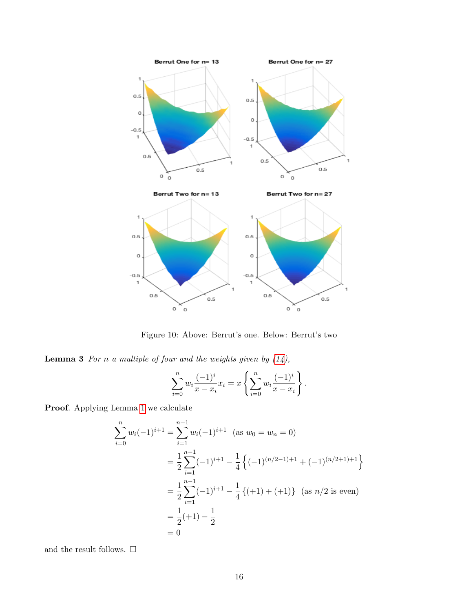

Figure 10: Above: Berrut's one. Below: Berrut's two

**Lemma 3** For n a multiple of four and the weights given by  $(14)$ ,

$$
\sum_{i=0}^{n} w_i \frac{(-1)^i}{x - x_i} x_i = x \left\{ \sum_{i=0}^{n} w_i \frac{(-1)^i}{x - x_i} \right\}.
$$

Proof. Applying Lemma [1](#page-12-2) we calculate

$$
\sum_{i=0}^{n} w_i (-1)^{i+1} = \sum_{i=1}^{n-1} w_i (-1)^{i+1} \quad \text{(as } w_0 = w_n = 0)
$$
  
=  $\frac{1}{2} \sum_{i=1}^{n-1} (-1)^{i+1} - \frac{1}{4} \left\{ (-1)^{(n/2-1)+1} + (-1)^{(n/2+1)+1} \right\}$   
=  $\frac{1}{2} \sum_{i=1}^{n-1} (-1)^{i+1} - \frac{1}{4} \left\{ (+1) + (+1) \right\} \quad \text{(as } n/2 \text{ is even)}$   
=  $\frac{1}{2} (+1) - \frac{1}{2}$   
= 0

and the result follows.  $\Box$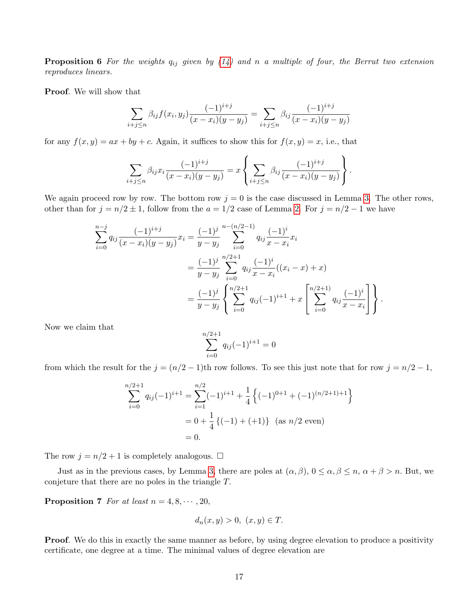**Proposition 6** For the weights  $q_{ij}$  given by [\(14\)](#page-14-1) and n a multiple of four, the Berrut two extension reproduces linears.

Proof. We will show that

$$
\sum_{i+j\leq n} \beta_{ij} f(x_i, y_j) \frac{(-1)^{i+j}}{(x-x_i)(y-y_j)} = \sum_{i+j\leq n} \beta_{ij} \frac{(-1)^{i+j}}{(x-x_i)(y-y_j)}
$$

for any  $f(x, y) = ax + by + c$ . Again, it suffices to show this for  $f(x, y) = x$ , i.e., that

$$
\sum_{i+j\leq n} \beta_{ij} x_i \frac{(-1)^{i+j}}{(x-x_i)(y-y_j)} = x \left\{ \sum_{i+j\leq n} \beta_{ij} \frac{(-1)^{i+j}}{(x-x_i)(y-y_j)} \right\}.
$$

We again proceed row by row. The bottom row  $j = 0$  is the case discussed in Lemma [3.](#page-14-2) The other rows, other than for  $j = n/2 \pm 1$ , follow from the  $a = 1/2$  case of Lemma [2.](#page-13-0) For  $j = n/2 - 1$  we have

$$
\sum_{i=0}^{n-j} q_{ij} \frac{(-1)^{i+j}}{(x-x_i)(y-y_j)} x_i = \frac{(-1)^j}{y-y_j} \sum_{i=0}^{n-(n/2-1)} q_{ij} \frac{(-1)^i}{x-x_i} x_i
$$
  

$$
= \frac{(-1)^j}{y-y_j} \sum_{i=0}^{n/2+1} q_{ij} \frac{(-1)^i}{x-x_i} ((x_i - x) + x)
$$
  

$$
= \frac{(-1)^j}{y-y_j} \left\{ \sum_{i=0}^{n/2+1} q_{ij} (-1)^{i+1} + x \left[ \sum_{i=0}^{n/2+1} q_{ij} \frac{(-1)^i}{x-x_i} \right] \right\}.
$$

Now we claim that

$$
\sum_{i=0}^{n/2+1} q_{ij}(-1)^{i+1} = 0
$$

from which the result for the  $j = (n/2 - 1)$ th row follows. To see this just note that for row  $j = n/2 - 1$ ,

$$
\sum_{i=0}^{n/2+1} q_{ij}(-1)^{i+1} = \sum_{i=1}^{n/2} (-1)^{i+1} + \frac{1}{4} \left\{ (-1)^{0+1} + (-1)^{(n/2+1)+1} \right\}
$$
  
= 0 +  $\frac{1}{4} \left\{ (-1) + (+1) \right\}$  (as  $n/2$  even)  
= 0.

The row  $j=n/2+1$  is completely analogous.  $\Box$ 

Just as in the previous cases, by Lemma [3,](#page-9-0) there are poles at  $(\alpha, \beta), 0 \leq \alpha, \beta \leq n, \alpha + \beta > n$ . But, we conjeture that there are no poles in the triangle T.

**Proposition 7** For at least  $n = 4, 8, \dots, 20$ ,

$$
d_n(x, y) > 0, \ (x, y) \in T.
$$

**Proof.** We do this in exactly the same manner as before, by using degree elevation to produce a positivity certificate, one degree at a time. The minimal values of degree elevation are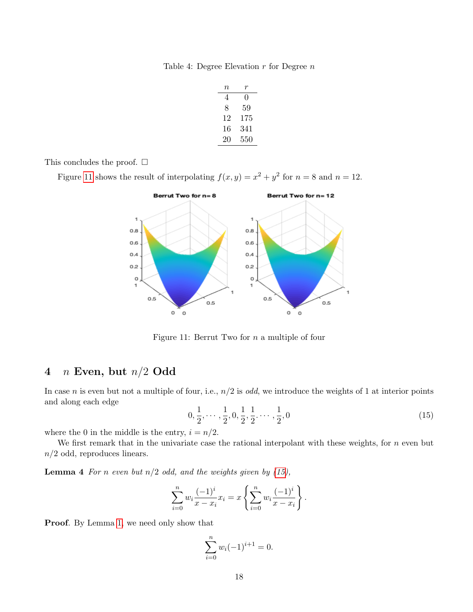Table 4: Degree Elevation  $r$  for Degree  $n$ 

| $\,n$ | T   |
|-------|-----|
| 4     | 0   |
| 8     | 59  |
| 12    | 175 |
| 16    | 341 |
| 20    | 550 |

This concludes the proof.  $\square$ 

Figure [11](#page-17-0) shows the result of interpolating  $f(x, y) = x^2 + y^2$  for  $n = 8$  and  $n = 12$ .



<span id="page-17-0"></span>Figure 11: Berrut Two for n a multiple of four

# 4  $n$  Even, but  $n/2$  Odd

In case n is even but not a multiple of four, i.e.,  $n/2$  is odd, we introduce the weights of 1 at interior points and along each edge

<span id="page-17-1"></span>
$$
0, \frac{1}{2}, \cdots, \frac{1}{2}, 0, \frac{1}{2}, \frac{1}{2}, \cdots, \frac{1}{2}, 0
$$
\n
$$
(15)
$$

where the 0 in the middle is the entry,  $i = n/2$ .

We first remark that in the univariate case the rational interpolant with these weights, for  $n$  even but  $n/2$  odd, reproduces linears.

<span id="page-17-2"></span>**Lemma 4** For n even but  $n/2$  odd, and the weights given by  $(15)$ ,

$$
\sum_{i=0}^{n} w_i \frac{(-1)^i}{x - x_i} x_i = x \left\{ \sum_{i=0}^{n} w_i \frac{(-1)^i}{x - x_i} \right\}.
$$

Proof. By Lemma [1,](#page-12-2) we need only show that

$$
\sum_{i=0}^{n} w_i (-1)^{i+1} = 0.
$$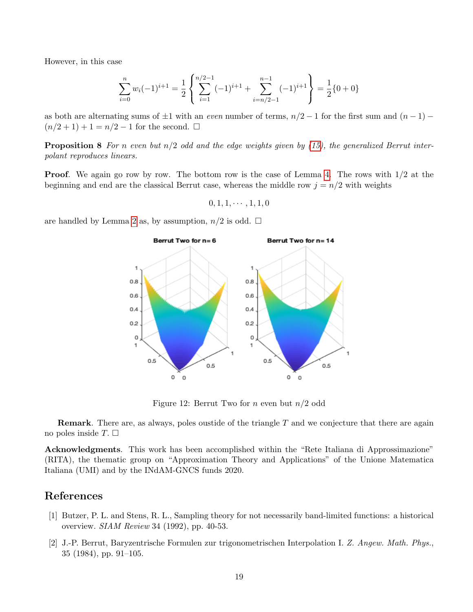However, in this case

$$
\sum_{i=0}^{n} w_i (-1)^{i+1} = \frac{1}{2} \left\{ \sum_{i=1}^{n/2-1} (-1)^{i+1} + \sum_{i=n/2-1}^{n-1} (-1)^{i+1} \right\} = \frac{1}{2} \{0+0\}
$$

as both are alternating sums of  $\pm 1$  with an even number of terms,  $n/2 - 1$  for the first sum and  $(n - 1) (n/2 + 1) + 1 = n/2 - 1$  for the second.  $\square$ 

**Proposition 8** For n even but  $n/2$  odd and the edge weights given by [\(15\)](#page-17-1), the generalized Berrut interpolant reproduces linears.

**Proof.** We again go row by row. The bottom row is the case of Lemma [4.](#page-17-2) The rows with  $1/2$  at the beginning and end are the classical Berrut case, whereas the middle row  $j = n/2$  with weights

$$
0, 1, 1, \cdots, 1, 1, 0
$$

are handled by Lemma [2](#page-13-0) as, by assumption,  $n/2$  is odd.  $\square$ 



Figure 12: Berrut Two for *n* even but  $n/2$  odd

**Remark**. There are, as always, poles oustide of the triangle  $T$  and we conjecture that there are again no poles inside  $T. \Box$ 

Acknowledgments. This work has been accomplished within the "Rete Italiana di Approssimazione" (RITA), the thematic group on "Approximation Theory and Applications" of the Unione Matematica Italiana (UMI) and by the INdAM-GNCS funds 2020.

### References

- <span id="page-18-1"></span>[1] Butzer, P. L. and Stens, R. L., Sampling theory for not necessarily band-limited functions: a historical overview. SIAM Review 34 (1992), pp. 40-53.
- <span id="page-18-0"></span>[2] J.-P. Berrut, Baryzentrische Formulen zur trigonometrischen Interpolation I. Z. Angew. Math. Phys., 35 (1984), pp. 91–105.